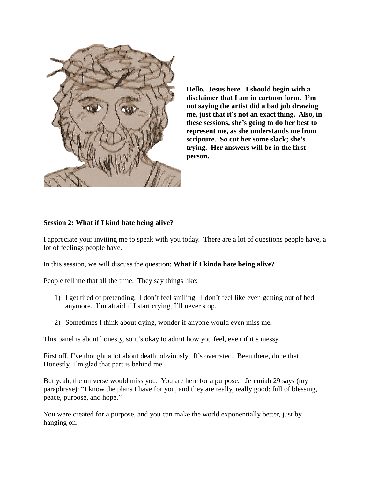

**Hello. Jesus here. I should begin with a disclaimer that I am in cartoon form. I'm not saying the artist did a bad job drawing me, just that it's not an exact thing. Also, in these sessions, she's going to do her best to represent me, as she understands me from scripture. So cut her some slack; she's trying. Her answers will be in the first person.** 

## **Session 2: What if I kind hate being alive?**

I appreciate your inviting me to speak with you today. There are a lot of questions people have, a lot of feelings people have.

In this session, we will discuss the question: **What if I kinda hate being alive?**

People tell me that all the time. They say things like:

- 1) I get tired of pretending. I don't feel smiling. I don't feel like even getting out of bed anymore. I'm afraid if I start crying, Í'll never stop.
- 2) Sometimes I think about dying, wonder if anyone would even miss me.

This panel is about honesty, so it's okay to admit how you feel, even if it's messy.

First off, I've thought a lot about death, obviously. It's overrated. Been there, done that. Honestly, I'm glad that part is behind me.

But yeah, the universe would miss you. You are here for a purpose. Jeremiah 29 says (my paraphrase): "I know the plans I have for you, and they are really, really good: full of blessing, peace, purpose, and hope."

You were created for a purpose, and you can make the world exponentially better, just by hanging on.